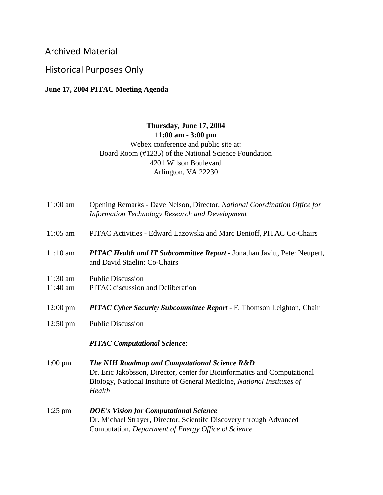## Archived Material

## Historical Purposes Only

## **June 17, 2004 PITAC Meeting Agenda**

## **Thursday, June 17, 2004 11:00 am - 3:00 pm** Webex conference and public site at: Board Room (#1235) of the National Science Foundation 4201 Wilson Boulevard Arlington, VA 22230

| $11:00$ am           | Opening Remarks - Dave Nelson, Director, National Coordination Office for<br>Information Technology Research and Development                                                                                    |
|----------------------|-----------------------------------------------------------------------------------------------------------------------------------------------------------------------------------------------------------------|
| $11:05$ am           | PITAC Activities - Edward Lazowska and Marc Benioff, PITAC Co-Chairs                                                                                                                                            |
| $11:10$ am           | <b>PITAC Health and IT Subcommittee Report - Jonathan Javitt, Peter Neupert,</b><br>and David Staelin: Co-Chairs                                                                                                |
| 11:30 am<br>11:40 am | <b>Public Discussion</b><br><b>PITAC</b> discussion and Deliberation                                                                                                                                            |
| $12:00 \text{ pm}$   | PITAC Cyber Security Subcommittee Report - F. Thomson Leighton, Chair                                                                                                                                           |
| $12:50 \text{ pm}$   | <b>Public Discussion</b>                                                                                                                                                                                        |
|                      | <b>PITAC Computational Science:</b>                                                                                                                                                                             |
| $1:00 \text{ pm}$    | The NIH Roadmap and Computational Science R&D<br>Dr. Eric Jakobsson, Director, center for Bioinformatics and Computational<br>Biology, National Institute of General Medicine, National Institutes of<br>Health |
| $1:25$ pm            | <b>DOE's Vision for Computational Science</b><br>Dr. Michael Strayer, Director, Scientifc Discovery through Advanced<br>Computation, Department of Energy Office of Science                                     |